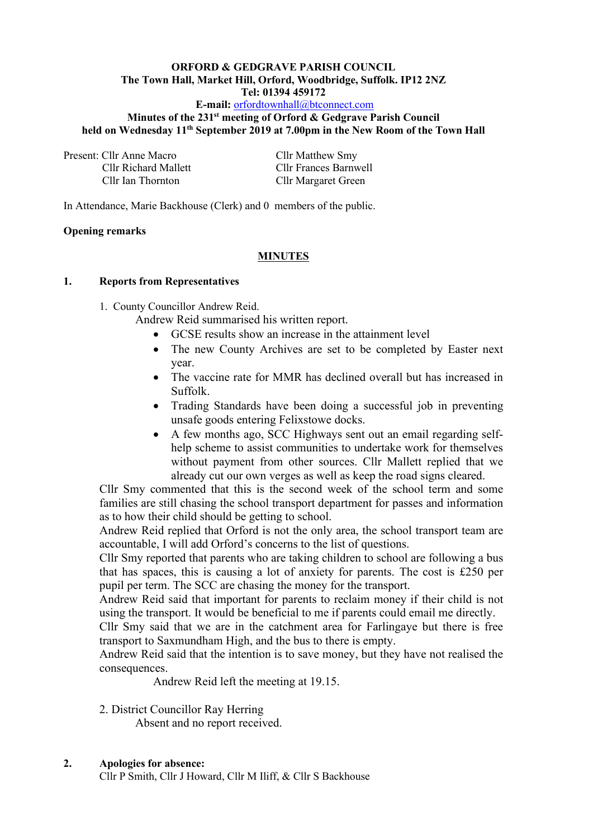#### **ORFORD & GEDGRAVE PARISH COUNCIL The Town Hall, Market Hill, Orford, Woodbridge, Suffolk. IP12 2NZ Tel: 01394 459172 E-mail:** [orfordtownhall@btconnect.com](mailto:orfordtownhall@btconnect.com)

# **Minutes of the 231 st meeting of Orford & Gedgrave Parish Council held on Wednesday 11 th September 2019 at 7.00pm in the New Room of the Town Hall**

Present: Cllr Anne Macro Cllr Matthew Smy

Cllr Richard Mallett Cllr Frances Barnwell Cllr Ian Thornton Cllr Margaret Green

In Attendance, Marie Backhouse (Clerk) and 0 members of the public.

# **Opening remarks**

# **MINUTES**

### **1. Reports from Representatives**

1. County Councillor Andrew Reid.

Andrew Reid summarised his written report.

- GCSE results show an increase in the attainment level
- The new County Archives are set to be completed by Easter next year.
- The vaccine rate for MMR has declined overall but has increased in Suffolk.
- Trading Standards have been doing a successful job in preventing unsafe goods entering Felixstowe docks.
- A few months ago, SCC Highways sent out an email regarding selfhelp scheme to assist communities to undertake work for themselves without payment from other sources. Cllr Mallett replied that we already cut our own verges as well as keep the road signs cleared.

Cllr Smy commented that this is the second week of the school term and some families are still chasing the school transport department for passes and information as to how their child should be getting to school.

Andrew Reid replied that Orford is not the only area, the school transport team are accountable, I will add Orford's concerns to the list of questions.

Cllr Smy reported that parents who are taking children to school are following a bus that has spaces, this is causing a lot of anxiety for parents. The cost is £250 per pupil per term. The SCC are chasing the money for the transport.

Andrew Reid said that important for parents to reclaim money if their child is not using the transport. It would be beneficial to me if parents could email me directly.

Cllr Smy said that we are in the catchment area for Farlingaye but there is free transport to Saxmundham High, and the bus to there is empty.

Andrew Reid said that the intention is to save money, but they have not realised the consequences.

Andrew Reid left the meeting at 19.15.

# 2. District Councillor Ray Herring

Absent and no report received.

# **2. Apologies for absence:**

Cllr P Smith, Cllr J Howard, Cllr M Iliff, & Cllr S Backhouse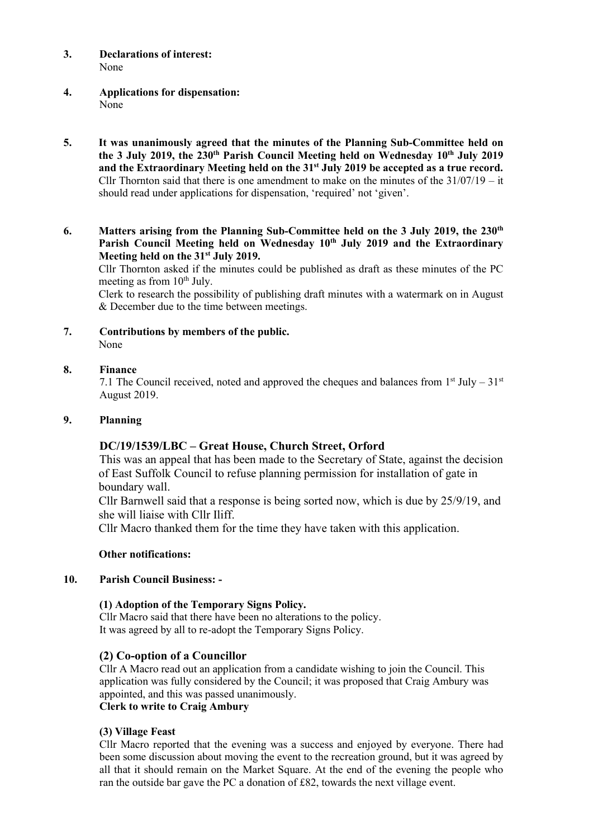- **3. Declarations of interest:** None
- **4. Applications for dispensation:** None
- **5. It was unanimously agreed that the minutes of the Planning Sub-Committee held on the 3 July 2019, the 230th Parish Council Meeting held on Wednesday 10 th July 2019 and the Extraordinary Meeting held on the 31st July 2019 be accepted as a true record.** Cllr Thornton said that there is one amendment to make on the minutes of the  $31/07/19 - it$ should read under applications for dispensation, 'required' not 'given'.
- **6. Matters arising from the Planning Sub-Committee held on the 3 July 2019, the 230th Parish Council Meeting held on Wednesday 10th July 2019 and the Extraordinary Meeting held on the 31st July 2019.**

Cllr Thornton asked if the minutes could be published as draft as these minutes of the PC meeting as from  $10<sup>th</sup>$  July.

Clerk to research the possibility of publishing draft minutes with a watermark on in August & December due to the time between meetings.

**7. Contributions by members of the public.** None

### **8. Finance**

7.1 The Council received, noted and approved the cheques and balances from  $1<sup>st</sup>$  July – 31<sup>st</sup> August 2019.

#### **9. Planning**

# **DC/19/1539/LBC – Great House, Church Street, Orford**

This was an appeal that has been made to the Secretary of State, against the decision of East Suffolk Council to refuse planning permission for installation of gate in boundary wall.

Cllr Barnwell said that a response is being sorted now, which is due by 25/9/19, and she will liaise with Cllr Iliff.

Cllr Macro thanked them for the time they have taken with this application.

#### **Other notifications:**

#### **10. Parish Council Business: -**

#### **(1) Adoption of the Temporary Signs Policy.**

Cllr Macro said that there have been no alterations to the policy. It was agreed by all to re-adopt the Temporary Signs Policy.

# **(2) Co-option of a Councillor**

Cllr A Macro read out an application from a candidate wishing to join the Council. This application was fully considered by the Council; it was proposed that Craig Ambury was appointed, and this was passed unanimously.

# **Clerk to write to Craig Ambury**

#### **(3) Village Feast**

Cllr Macro reported that the evening was a success and enjoyed by everyone. There had been some discussion about moving the event to the recreation ground, but it was agreed by all that it should remain on the Market Square. At the end of the evening the people who ran the outside bar gave the PC a donation of £82, towards the next village event.